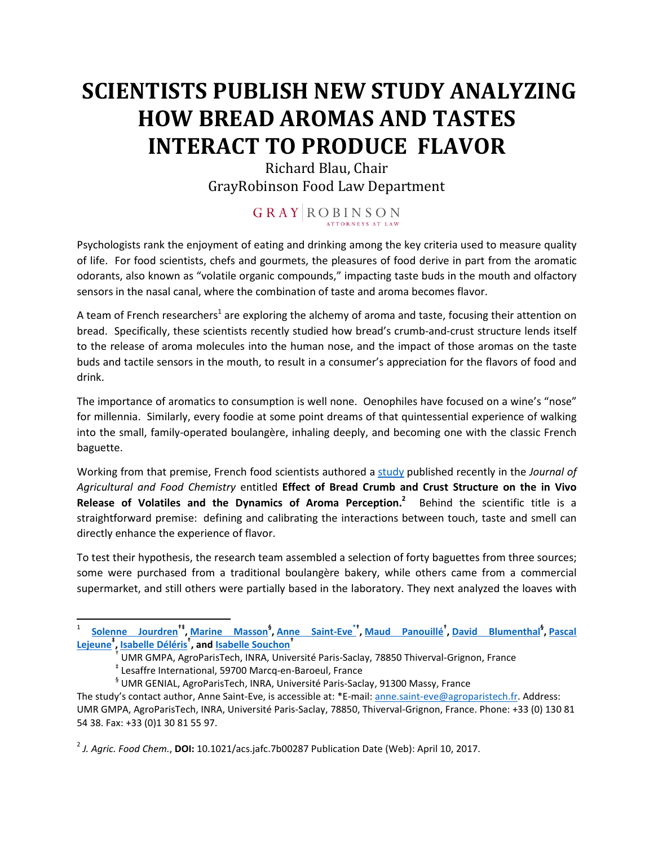## **SCIENTISTS PUBLISH NEW STUDY ANALYZING HOW BREAD AROMAS AND TASTES INTERACT TO PRODUCE FLAVOR**

Richard Blau, Chair GrayRobinson Food Law Department

## $\begin{array}{c|c|c|c|c|c} \hline \textbf{G} & \textbf{R} & \textbf{A} & \textbf{Y} & \textbf{R} & \textbf{O} & \textbf{B} & \textbf{I} & \textbf{N} & \textbf{S} & \textbf{O} & \textbf{N} \\ \hline & \textbf{A} & \textbf{A} & \textbf{A} & \textbf{A} & \textbf{A} & \textbf{A} & \textbf{A} & \textbf{A} & \textbf{A} & \textbf{A} & \textbf{A} & \textbf{A} & \textbf{A} & \textbf{A} & \textbf{A} & \textbf{A} &$

Psychologists rank the enjoyment of eating and drinking among the key criteria used to measure quality of life. For food scientists, chefs and gourmets, the pleasures of food derive in part from the aromatic odorants, also known as "volatile organic compounds," impacting taste buds in the mouth and olfactory sensors in the nasal canal, where the combination of taste and aroma becomes flavor.

A team of French researchers<sup>[1](#page-0-0)</sup> are exploring the alchemy of aroma and taste, focusing their attention on bread. Specifically, these scientists recently studied how bread's crumb-and-crust structure lends itself to the release of aroma molecules into the human nose, and the impact of those aromas on the taste buds and tactile sensors in the mouth, to result in a consumer's appreciation for the flavors of food and drink.

The importance of aromatics to consumption is well none. Oenophiles have focused on a wine's "nose" for millennia. Similarly, every foodie at some point dreams of that quintessential experience of walking into the small, family-operated boulangère, inhaling deeply, and becoming one with the classic French baguette.

Working from that premise, French food scientists authored a [study](http://pubs.acs.org/doi/abs/10.1021/acs.jafc.7b00287) published recently in the *Journal of Agricultural and Food Chemistry* entitled **Effect of Bread Crumb and Crust Structure on the in Vivo Release of Volatiles and the Dynamics of Aroma Perception.<sup>2</sup>** Behind the scientific title is a straightforward premise: defining and calibrating the interactions between touch, taste and smell can directly enhance the experience of flavor.

To test their hypothesis, the research team assembled a selection of forty baguettes from three sources; some were purchased from a traditional boulangère bakery, while others came from a commercial supermarket, and still others were partially based in the laboratory. They next analyzed the loaves with

<span id="page-0-0"></span><sup>1</sup> **Solenne Jourdren†‡ , Marine Masson§ , Anne Saint-Eve\*† , Maud Panouillé† , David Blumenthal§ , Pascal Lejeune‡ , Isabelle Déléris† , and Isabelle Souchon†** †

UMR GMPA, AgroParisTech, INRA, Université Paris-Saclay, 78850 Thiverval-Grignon, France

<sup>‡</sup> Lesaffre International, 59700 Marcq-en-Baroeul, France

<sup>§</sup> UMR GENIAL, AgroParisTech, INRA, Université Paris-Saclay, 91300 Massy, France

The study's contact author, Anne Saint-Eve, is accessible at: \*E-mail: anne.saint-eve@agroparistech.fr. Address: UMR GMPA, AgroParisTech, INRA, Université Paris-Saclay, 78850, Thiverval-Grignon, France. Phone: +33 (0) 130 81 54 38. Fax: +33 (0)1 30 81 55 97.

<sup>2</sup> *J. Agric. Food Chem.*, **DOI:** 10.1021/acs.jafc.7b00287 Publication Date (Web): April 10, 2017.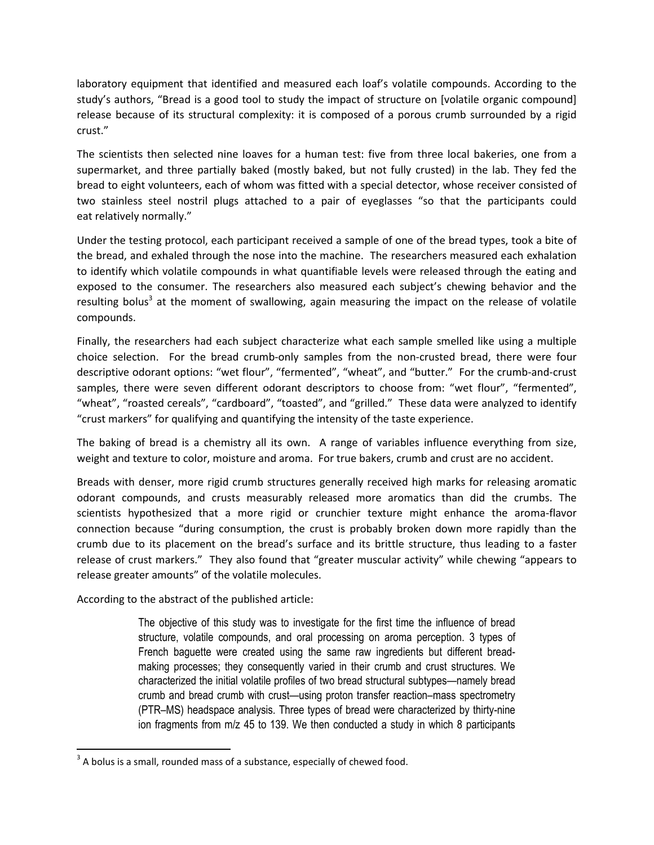laboratory equipment that identified and measured each loaf's volatile compounds. According to the study's authors, "Bread is a good tool to study the impact of structure on [volatile organic compound] release because of its structural complexity: it is composed of a porous crumb surrounded by a rigid crust."

The scientists then selected nine loaves for a human test: five from three local bakeries, one from a supermarket, and three partially baked (mostly baked, but not fully crusted) in the lab. They fed the bread to eight volunteers, each of whom was fitted with a special detector, whose receiver consisted of two stainless steel nostril plugs attached to a pair of eyeglasses "so that the participants could eat relatively normally."

Under the testing protocol, each participant received a sample of one of the bread types, took a bite of the bread, and exhaled through the nose into the machine. The researchers measured each exhalation to identify which volatile compounds in what quantifiable levels were released through the eating and exposed to the consumer. The researchers also measured each subject's chewing behavior and the resulting bolus<sup>[3](#page-1-0)</sup> at the moment of swallowing, again measuring the impact on the release of volatile compounds.

Finally, the researchers had each subject characterize what each sample smelled like using a multiple choice selection. For the bread crumb-only samples from the non-crusted bread, there were four descriptive odorant options: "wet flour", "fermented", "wheat", and "butter." For the crumb-and-crust samples, there were seven different odorant descriptors to choose from: "wet flour", "fermented", "wheat", "roasted cereals", "cardboard", "toasted", and "grilled." These data were analyzed to identify "crust markers" for qualifying and quantifying the intensity of the taste experience.

The baking of bread is a chemistry all its own. A range of variables influence everything from size, weight and texture to color, moisture and aroma. For true bakers, crumb and crust are no accident.

Breads with denser, more rigid crumb structures generally received high marks for releasing aromatic odorant compounds, and crusts measurably released more aromatics than did the crumbs. The scientists hypothesized that a more rigid or crunchier texture might enhance the aroma-flavor connection because "during consumption, the crust is probably broken down more rapidly than the crumb due to its placement on the bread's surface and its brittle structure, thus leading to a faster release of crust markers." They also found that "greater muscular activity" while chewing "appears to release greater amounts" of the volatile molecules.

According to the abstract of the published article:

The objective of this study was to investigate for the first time the influence of bread structure, volatile compounds, and oral processing on aroma perception. 3 types of French baguette were created using the same raw ingredients but different breadmaking processes; they consequently varied in their crumb and crust structures. We characterized the initial volatile profiles of two bread structural subtypes—namely bread crumb and bread crumb with crust—using proton transfer reaction–mass spectrometry (PTR–MS) headspace analysis. Three types of bread were characterized by thirty-nine ion fragments from m/z 45 to 139. We then conducted a study in which 8 participants

<span id="page-1-0"></span> $3$  A bolus is a small, rounded mass of a substance, especially of chewed food.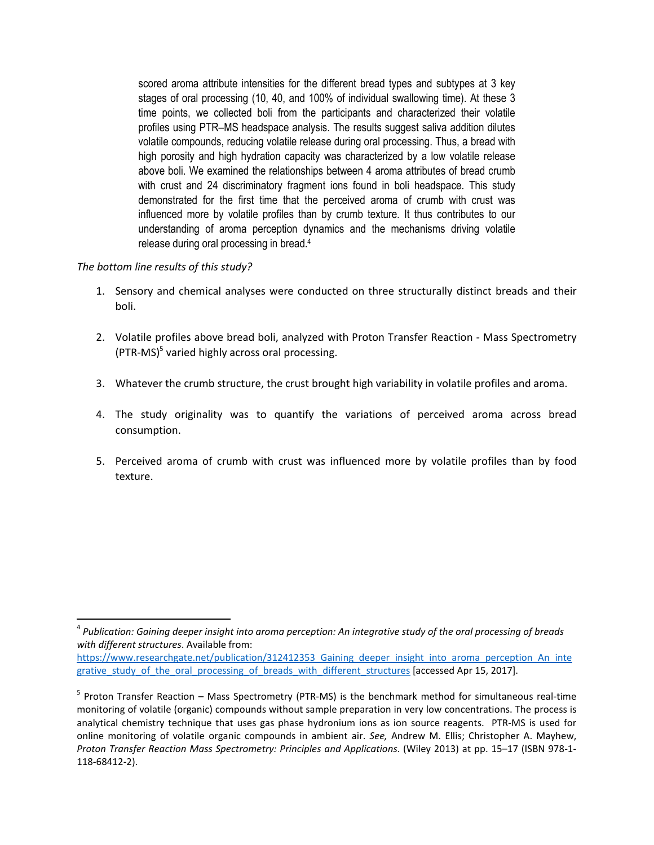scored aroma attribute intensities for the different bread types and subtypes at 3 key stages of oral processing (10, 40, and 100% of individual swallowing time). At these 3 time points, we collected boli from the participants and characterized their volatile profiles using PTR–MS headspace analysis. The results suggest saliva addition dilutes volatile compounds, reducing volatile release during oral processing. Thus, a bread with high porosity and high hydration capacity was characterized by a low volatile release above boli. We examined the relationships between 4 aroma attributes of bread crumb with crust and 24 discriminatory fragment ions found in boli headspace. This study demonstrated for the first time that the perceived aroma of crumb with crust was influenced more by volatile profiles than by crumb texture. It thus contributes to our understanding of aroma perception dynamics and the mechanisms driving volatile release during oral processing in bread.<sup>4</sup>

## *The bottom line results of this study?*

- 1. Sensory and chemical analyses were conducted on three structurally distinct breads and their boli.
- 2. Volatile profiles above bread boli, analyzed with Proton Transfer Reaction Mass Spectrometry (PTR-MS)<sup>5</sup> [v](#page-2-0)aried highly across oral processing.
- 3. Whatever the crumb structure, the crust brought high variability in volatile profiles and aroma.
- 4. The study originality was to quantify the variations of perceived aroma across bread consumption.
- 5. Perceived aroma of crumb with crust was influenced more by volatile profiles than by food texture.

<sup>4</sup> *Publication: Gaining deeper insight into aroma perception: An integrative study of the oral processing of breads with different structures*. Available from:

https://www.researchgate.net/publication/312412353 Gaining deeper insight into aroma perception An inte grative\_study\_of\_the\_oral\_processing\_of\_breads\_with\_different\_structures [accessed Apr 15, 2017].

<span id="page-2-0"></span><sup>&</sup>lt;sup>5</sup> Proton Transfer Reaction – Mass Spectrometry (PTR-MS) is the benchmark method for simultaneous real-time monitoring of volatile (organic) compounds without sample preparation in very low concentrations. The process is analytical chemistry technique that uses gas phase hydronium ions as ion source reagents. PTR-MS is used for online monitoring of volatile organic compounds in ambient air. *See,* Andrew M. Ellis; Christopher A. Mayhew, *Proton Transfer Reaction Mass Spectrometry: Principles and Applications*. (Wiley 2013) at pp. 15–17 (ISBN 978-1- 118-68412-2).